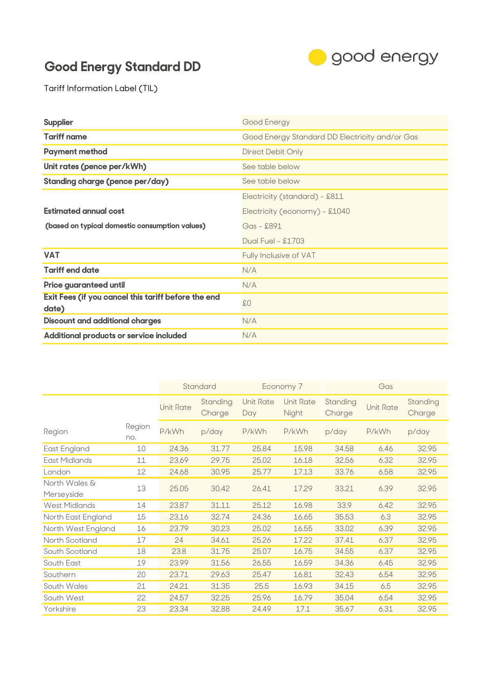## **Good Energy Standard DD**



Tariff Information Label (TIL)

| <b>Supplier</b>                                              | Good Energy                                    |
|--------------------------------------------------------------|------------------------------------------------|
| <b>Tariff name</b>                                           | Good Energy Standard DD Electricity and/or Gas |
| <b>Payment method</b>                                        | Direct Debit Only                              |
| Unit rates (pence per/kWh)                                   | See table below                                |
| Standing charge (pence per/day)                              | See table below                                |
|                                                              | Electricity (standard) - £811                  |
| <b>Estimated annual cost</b>                                 | Electricity (economy) - £1040                  |
| (based on typical domestic consumption values)               | Gas - £891                                     |
|                                                              | Dual Fuel - £1703                              |
| <b>VAT</b>                                                   | Fully Inclusive of VAT                         |
| <b>Tariff end date</b>                                       | N/A                                            |
| Price guaranteed until                                       | N/A                                            |
| Exit Fees (if you cancel this tariff before the end<br>date) | \$0\$                                          |
| <b>Discount and additional charges</b>                       | N/A                                            |
| Additional products or service included                      | N/A                                            |

|                             |               |                  | Standard           |                         | Economy 7                 | Gas                |                  |                    |
|-----------------------------|---------------|------------------|--------------------|-------------------------|---------------------------|--------------------|------------------|--------------------|
|                             |               | <b>Unit Rate</b> | Standing<br>Charge | <b>Unit Rate</b><br>Day | <b>Unit Rate</b><br>Night | Standing<br>Charge | <b>Unit Rate</b> | Standing<br>Charge |
| Region                      | Region<br>no. | P/kWh            | p/day              | P/kWh                   | P/kWh                     | p/day              | P/kWh            | p/day              |
| East England                | 10            | 24.36            | 31.77              | 25.84                   | 15.98                     | 34.58              | 6.46             | 32.95              |
| East Midlands               | 11            | 23.69            | 29.75              | 25.02                   | 16.18                     | 32.56              | 6.32             | 32.95              |
| London                      | 12            | 24.68            | 30.95              | 25.77                   | 17.13                     | 33.76              | 6.58             | 32.95              |
| North Wales &<br>Merseyside | 13            | 25.05            | 30.42              | 26.41                   | 17.29                     | 33.21              | 6.39             | 32.95              |
| West Midlands               | 14            | 23.87            | 31.11              | 25.12                   | 16.98                     | 33.9               | 6.42             | 32.95              |
| North East England          | 15            | 23.16            | 32.74              | 24.36                   | 16.65                     | 35.53              | 6.3              | 32.95              |
| North West England          | 16            | 23.79            | 30.23              | 25.02                   | 16.55                     | 33.02              | 6.39             | 32.95              |
| North Scotland              | 17            | 24               | 34.61              | 25.26                   | 17.22                     | 37.41              | 6.37             | 32.95              |
| South Scotland              | 18            | 23.8             | 31.75              | 25.07                   | 16.75                     | 34.55              | 6.37             | 32.95              |
| South East                  | 19            | 23.99            | 31.56              | 26.55                   | 16.59                     | 34.36              | 6.45             | 32.95              |
| Southern                    | 20            | 23.71            | 29.63              | 25.47                   | 16.81                     | 32.43              | 6.54             | 32.95              |
| South Wales                 | 21            | 24.21            | 31.35              | 25.5                    | 16.93                     | 34.15              | 6.5              | 32.95              |
| South West                  | 22            | 24.57            | 32.25              | 25.96                   | 16.79                     | 35.04              | 6.54             | 32.95              |
| Yorkshire                   | 23            | 23.34            | 32.88              | 24.49                   | 17.1                      | 35.67              | 6.31             | 32.95              |